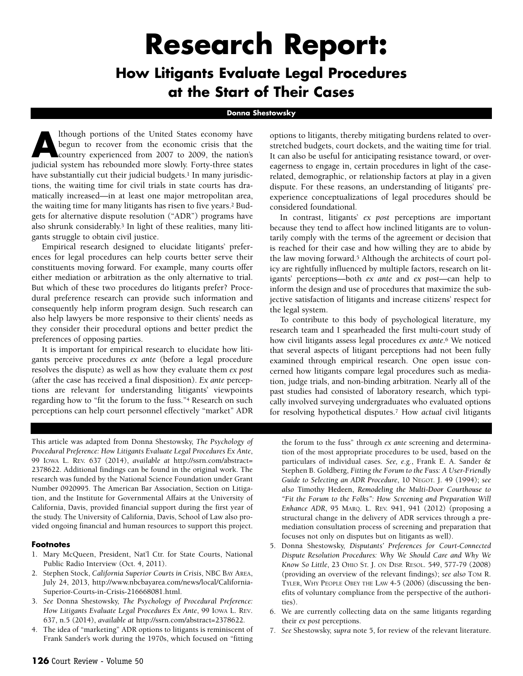# **Research Report:**

# **How Litigants Evaluate Legal Procedures at the Start of Their Cases**

#### **Donna Shestowsky**

Ithough portions of the United States economy have<br>begun to recover from the economic crisis that the<br>country experienced from 2007 to 2009, the nation's<br>indicial cystem has rebounded more clouly. Forty three states begun to recover from the economic crisis that the judicial system has rebounded more slowly. Forty-three states have substantially cut their judicial budgets.<sup>1</sup> In many jurisdictions, the waiting time for civil trials in state courts has dramatically increased—in at least one major metropolitan area, the waiting time for many litigants has risen to five years.2 Budgets for alternative dispute resolution ("ADR") programs have also shrunk considerably.3 In light of these realities, many litigants struggle to obtain civil justice.

Empirical research designed to elucidate litigants' preferences for legal procedures can help courts better serve their constituents moving forward. For example, many courts offer either mediation or arbitration as the only alternative to trial. But which of these two procedures do litigants prefer? Procedural preference research can provide such information and consequently help inform program design. Such research can also help lawyers be more responsive to their clients' needs as they consider their procedural options and better predict the preferences of opposing parties.

It is important for empirical research to elucidate how litigants perceive procedures *ex ante* (before a legal procedure resolves the dispute) as well as how they evaluate them *ex post* (after the case has received a final disposition). *Ex ante* perceptions are relevant for understanding litigants' viewpoints regarding how to "fit the forum to the fuss."4 Research on such perceptions can help court personnel effectively "market" ADR options to litigants, thereby mitigating burdens related to overstretched budgets, court dockets, and the waiting time for trial. It can also be useful for anticipating resistance toward, or overeagerness to engage in, certain procedures in light of the caserelated, demographic, or relationship factors at play in a given dispute. For these reasons, an understanding of litigants' preexperience conceptualizations of legal procedures should be considered foundational.

In contrast, litigants' *ex post* perceptions are important because they tend to affect how inclined litigants are to voluntarily comply with the terms of the agreement or decision that is reached for their case and how willing they are to abide by the law moving forward.<sup>5</sup> Although the architects of court policy are rightfully influenced by multiple factors, research on litigants' perceptions—both *ex ante* and *ex post*—can help to inform the design and use of procedures that maximize the subjective satisfaction of litigants and increase citizens' respect for the legal system.

To contribute to this body of psychological literature, my research team and I spearheaded the first multi-court study of how civil litigants assess legal procedures *ex ante*.6 We noticed that several aspects of litigant perceptions had not been fully examined through empirical research. One open issue concerned how litigants compare legal procedures such as mediation, judge trials, and non-binding arbitration. Nearly all of the past studies had consisted of laboratory research, which typically involved surveying undergraduates who evaluated options for resolving hypothetical disputes.7 How *actual* civil litigants

This article was adapted from Donna Shestowsky, *The Psychology of Procedural Preference: How Litigants Evaluate Legal Procedures Ex Ante*, 99 IOWA L. REV. 637 (2014), *available at* [http://ssrn.com/abstract=](http://ssrn.com/abstract=2378622) [2378622.](http://ssrn.com/abstract=2378622) Additional findings can be found in the original work. The research was funded by the National Science Foundation under Grant Number 0920995. The American Bar Association, Section on Litigation, and the Institute for Governmental Affairs at the University of California, Davis, provided financial support during the first year of the study. The University of California, Davis, School of Law also provided ongoing financial and human resources to support this project.

#### **Footnotes**

- 1. Mary McQueen, President, Nat'l Ctr. for State Courts, National Public Radio Interview (Oct. 4, 2011).
- 2. Stephen Stock, *California Superior Courts in Crisis*, NBC BAY AREA, July 24, 2013, http://www.nbcbayarea.com/news/local/California-Superior-Courts-in-Crisis-216668081.html.
- 3. *See* Donna Shestowsky, *The Psychology of Procedural Preference: How Litigants Evaluate Legal Procedures Ex Ante*, 99 IOWA L. REV. 637, n.5 (2014), *available at* http://ssrn.com/abstract=2378622.
- 4. The idea of "marketing" ADR options to litigants is reminiscent of Frank Sander's work during the 1970s, which focused on "fitting

the forum to the fuss" through *ex ante* screening and determination of the most appropriate procedures to be used, based on the particulars of individual cases. *See, e.g.*, Frank E. A. Sander & Stephen B. Goldberg, *Fitting the Forum to the Fuss: A User-Friendly Guide to Selecting an ADR Procedure*, 10 NEGOT. J. 49 (1994); *see also* Timothy Hedeen, *Remodeling the Multi-Door Courthouse to "Fit the Forum to the Folks": How Screening and Preparation Will Enhance ADR*, 95 MARQ. L. REV. 941, 941 (2012) (proposing a structural change in the delivery of ADR services through a premediation consultation process of screening and preparation that focuses not only on disputes but on litigants as well).

- 5. Donna Shestowsky, *Disputants' Preferences for Court-Connected Dispute Resolution Procedures: Why We Should Care and Why We Know So Little*, 23 OHIO ST. J. ON DISP. RESOL. 549, 577-79 (2008) (providing an overview of the relevant findings); *see also* TOM R. TYLER, WHY PEOPLE OBEY THE LAW 4-5 (2006) (discussing the benefits of voluntary compliance from the perspective of the authorities).
- 6. We are currently collecting data on the same litigants regarding their *ex post* perceptions.
- 7. *See* Shestowsky, *supra* note 5, for review of the relevant literature.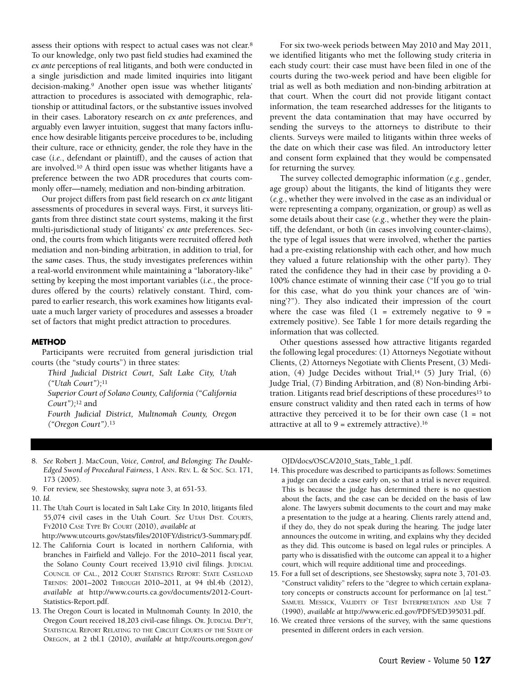assess their options with respect to actual cases was not clear.8 To our knowledge, only two past field studies had examined the *ex ante* perceptions of real litigants, and both were conducted in a single jurisdiction and made limited inquiries into litigant decision-making.9 Another open issue was whether litigants' attraction to procedures is associated with demographic, relationship or attitudinal factors, or the substantive issues involved in their cases. Laboratory research on *ex ante* preferences, and arguably even lawyer intuition, suggest that many factors influence how desirable litigants perceive procedures to be, including their culture, race or ethnicity, gender, the role they have in the case (*i.e.*, defendant or plaintiff), and the causes of action that are involved.10 A third open issue was whether litigants have a preference between the two ADR procedures that courts commonly offer—namely, mediation and non-binding arbitration.

Our project differs from past field research on *ex ante* litigant assessments of procedures in several ways. First, it surveys litigants from three distinct state court systems, making it the first multi-jurisdictional study of litigants' *ex ante* preferences. Second, the courts from which litigants were recruited offered *both* mediation and non-binding arbitration, in addition to trial, for the *same* cases. Thus, the study investigates preferences within a real-world environment while maintaining a "laboratory-like" setting by keeping the most important variables (*i.e.*, the procedures offered by the courts) relatively constant. Third, compared to earlier research, this work examines how litigants evaluate a much larger variety of procedures and assesses a broader set of factors that might predict attraction to procedures.

#### **METHOD**

Participants were recruited from general jurisdiction trial courts (the "study courts") in three states:

*Third Judicial District Court, Salt Lake City, Utah ("Utah Court");*<sup>11</sup>

*Superior Court of Solano County, California ("California Court");*<sup>12</sup> and

*Fourth Judicial District, Multnomah County, Oregon ("Oregon Court").*<sup>13</sup>

For six two-week periods between May 2010 and May 2011, we identified litigants who met the following study criteria in each study court: their case must have been filed in one of the courts during the two-week period and have been eligible for trial as well as both mediation and non-binding arbitration at that court. When the court did not provide litigant contact information, the team researched addresses for the litigants to prevent the data contamination that may have occurred by sending the surveys to the attorneys to distribute to their clients. Surveys were mailed to litigants within three weeks of the date on which their case was filed. An introductory letter and consent form explained that they would be compensated for returning the survey.

The survey collected demographic information (*e.g.*, gender, age group) about the litigants, the kind of litigants they were (*e.g.*, whether they were involved in the case as an individual or were representing a company, organization, or group) as well as some details about their case (*e.g*., whether they were the plaintiff, the defendant, or both (in cases involving counter-claims), the type of legal issues that were involved, whether the parties had a pre-existing relationship with each other, and how much they valued a future relationship with the other party). They rated the confidence they had in their case by providing a 0- 100% chance estimate of winning their case ("If you go to trial for this case, what do you think your chances are of 'winning'?"). They also indicated their impression of the court where the case was filed  $(1 =$  extremely negative to  $9 =$ extremely positive). See Table 1 for more details regarding the information that was collected.

Other questions assessed how attractive litigants regarded the following legal procedures: (1) Attorneys Negotiate without Clients, (2) Attorneys Negotiate with Clients Present, (3) Mediation,  $(4)$  Judge Decides without Trial, $14$   $(5)$  Jury Trial,  $(6)$ Judge Trial, (7) Binding Arbitration, and (8) Non-binding Arbitration. Litigants read brief descriptions of these procedures15 to ensure construct validity and then rated each in terms of how attractive they perceived it to be for their own case  $(1 = not$ attractive at all to  $9$  = extremely attractive).<sup>16</sup>

- 8. *See* Robert J. MacCoun, *Voice, Control, and Belonging: The Double-Edged Sword of Procedural Fairness*, 1 ANN. REV. L. & SOC. SCI. 171, 173 (2005).
- 9. For review, see Shestowsky, *supra* note 3, at 651-53.
- 10. *Id.*
- 11. The Utah Court is located in Salt Lake City. In 2010, litigants filed 55,074 civil cases in the Utah Court. *See* UTAH DIST. COURTS, FY2010 CASE TYPE BY COURT (2010), *available at* 
	- http://www.utcourts.gov/stats/files/2010FY/district/3-Summary.pdf.
- 12. The California Court is located in northern California, with branches in Fairfield and Vallejo. For the 2010–2011 fiscal year, the Solano County Court received 13,910 civil filings. JUDICIAL COUNCIL OF CAL., 2012 COURT STATISTICS REPORT: STATE CASELOAD TRENDS: 2001–2002 THROUGH 2010–2011, at 94 tbl.4b (2012), *available at* [http://www.courts.ca.gov/documents/2012-Court-](http://www.courts.ca.gov/documents/2012-Court-Statistics-Report.pdf)[Statistics-Report.pdf.](http://www.courts.ca.gov/documents/2012-Court-Statistics-Report.pdf)
- 13. The Oregon Court is located in Multnomah County. In 2010, the Oregon Court received 18,203 civil-case filings. OR. JUDICIAL DEP'T, STATISTICAL REPORT RELATING TO THE CIRCUIT COURTS OF THE STATE OF OREGON, at 2 tbl.1 (2010), *available at* http://courts.oregon.gov/

[OJD/docs/OSCA/2010\\_Stats\\_Table\\_1.pdf.](http://courts.oregon.gov/OJD/docs/OSCA/2010_Stats_Table_1.pdf)

- 14. This procedure was described to participants as follows: Sometimes a judge can decide a case early on, so that a trial is never required. This is because the judge has determined there is no question about the facts, and the case can be decided on the basis of law alone. The lawyers submit documents to the court and may make a presentation to the judge at a hearing. Clients rarely attend and, if they do, they do not speak during the hearing. The judge later announces the outcome in writing, and explains why they decided as they did. This outcome is based on legal rules or principles. A party who is dissatisfied with the outcome can appeal it to a higher court, which will require additional time and proceedings.
- 15. For a full set of descriptions, see Shestowsky, *supra* note 3, 701-03. "Construct validity" refers to the "degree to which certain explanatory concepts or constructs account for performance on [a] test." SAMUEL MESSICK, VALIDITY OF TEST INTERPRETATION AND USE 7 (1990), *available at* http://www.eric.ed.gov/PDFS/ED395031.pdf.
- 16. We created three versions of the survey, with the same questions presented in different orders in each version.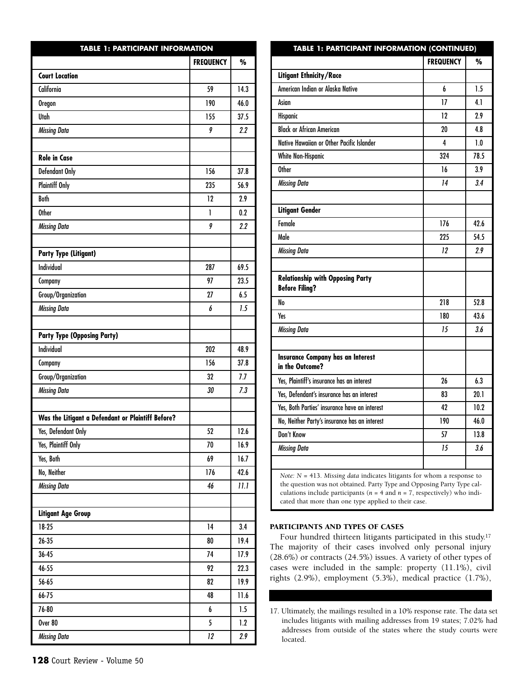| <b>TABLE 1: PARTICIPANT INFORMATION</b>           |                  |         |  |  |
|---------------------------------------------------|------------------|---------|--|--|
|                                                   | <b>FREQUENCY</b> | %       |  |  |
| <b>Court Location</b>                             |                  |         |  |  |
| California                                        | 59               | 14.3    |  |  |
| <b>Oregon</b>                                     | 190              | 46.0    |  |  |
| Utah                                              | 155              | 37.5    |  |  |
| <b>Missing Data</b>                               | 9                | $2.2\,$ |  |  |
|                                                   |                  |         |  |  |
| <b>Role in Case</b>                               |                  |         |  |  |
| Defendant Only                                    | 156              | 37.8    |  |  |
| <b>Plaintiff Only</b>                             | 235              | 56.9    |  |  |
| <b>Both</b>                                       | 12               | 2.9     |  |  |
| Other                                             | 1                | 0.2     |  |  |
| <b>Missing Data</b>                               | 9                | 2.2     |  |  |
|                                                   |                  |         |  |  |
| <b>Party Type (Litigant)</b>                      |                  |         |  |  |
| <b>Individual</b>                                 | 287              | 69.5    |  |  |
| Company                                           | 97               | 23.5    |  |  |
| Group/Organization                                | 27               | 6.5     |  |  |
| <b>Missing Data</b>                               | 6                | 1.5     |  |  |
|                                                   |                  |         |  |  |
| <b>Party Type (Opposing Party)</b>                |                  |         |  |  |
| <b>Individual</b>                                 | 202              | 48.9    |  |  |
| Company                                           | 156              | 37.8    |  |  |
| Group/Organization                                | 32               | 7.7     |  |  |
| <b>Missing Data</b>                               | 30               | 7.3     |  |  |
|                                                   |                  |         |  |  |
| Was the Litigant a Defendant or Plaintiff Before? |                  |         |  |  |
| Yes, Defendant Only                               | 52               | 12.6    |  |  |
| Yes, Plaintiff Only                               | 70               | 16.9    |  |  |
| Yes, Both                                         | 69               | 16.7    |  |  |
| No, Neither                                       | 176              | 42.6    |  |  |
| <b>Missing Data</b>                               | 46               | 11.1    |  |  |
|                                                   |                  |         |  |  |
| <b>Litigant Age Group</b>                         |                  |         |  |  |
| 18-25                                             | 14               | 3.4     |  |  |
| $26 - 35$                                         | 80               | 19.4    |  |  |
| $36 - 45$                                         | 74               | 17.9    |  |  |
| 46-55                                             | 92               | 22.3    |  |  |
| $56 - 65$                                         | 82               | 19.9    |  |  |
| 66-75                                             | 48               | 11.6    |  |  |
| 76-80                                             | 6                | 1.5     |  |  |
| Over 80                                           | 5                | 1.2     |  |  |
| <b>Missing Data</b>                               | 12               | 2.9     |  |  |

|                                                                                                                                                    | <b>FREQUENCY</b> | $\%$ |
|----------------------------------------------------------------------------------------------------------------------------------------------------|------------------|------|
| Litigant Ethnicity/Race                                                                                                                            |                  |      |
| American Indian or Alaska Native                                                                                                                   | 6                | 1.5  |
| Asian                                                                                                                                              | $\overline{17}$  | 4.1  |
| <b>Hispanic</b>                                                                                                                                    | 12               | 2.9  |
| <b>Black or African American</b>                                                                                                                   | 20               | 4.8  |
| Native Hawaiian or Other Pacific Islander                                                                                                          | 4                | 1.0  |
| White Non-Hispanic                                                                                                                                 | 324              | 78.5 |
| Other                                                                                                                                              | 16               | 3.9  |
| <b>Missing Data</b>                                                                                                                                | 14               | 3.4  |
|                                                                                                                                                    |                  |      |
| <b>Litigant Gender</b>                                                                                                                             |                  |      |
| Female                                                                                                                                             | 176              | 42.6 |
| Male                                                                                                                                               | 225              | 54.5 |
| <b>Missing Data</b>                                                                                                                                | 12               | 2.9  |
|                                                                                                                                                    |                  |      |
| <b>Relationship with Opposing Party</b><br><b>Before Filing?</b>                                                                                   |                  |      |
| No                                                                                                                                                 | 218              | 52.8 |
| Yes                                                                                                                                                | 180              | 43.6 |
| <b>Missing Data</b>                                                                                                                                | 15               | 3.6  |
|                                                                                                                                                    |                  |      |
| <b>Insurance Company has an Interest</b><br>in the Outcome?                                                                                        |                  |      |
| Yes, Plaintiff's insurance has an interest                                                                                                         | 26               | 6.3  |
| Yes, Defendant's insurance has an interest                                                                                                         | 83               | 20.1 |
| Yes, Both Parties' insurance have an interest                                                                                                      | 42               | 10.2 |
| No, Neither Party's insurance has an interest                                                                                                      | 190              | 46.0 |
| Don't Know                                                                                                                                         | 57               | 13.8 |
| Missing Data                                                                                                                                       | 15               | 3.6  |
|                                                                                                                                                    |                  |      |
| Note: $N = 413$ . Missing data indicates litigants for whom a response to<br>the question was not obtained. Party Type and Opposing Party Type cal |                  |      |

**TABLE 1: PARTICIPANT INFORMATION (CONTINUED)**

the question was not obtained. Party Type and Opposing Party Type calculations include participants (*n* = 4 and *n* = 7, respectively) who indicated that more than one type applied to their case.

#### **PARTICIPANTS AND TYPES OF CASES**

Four hundred thirteen litigants participated in this study.17 The majority of their cases involved only personal injury (28.6%) or contracts (24.5%) issues. A variety of other types of cases were included in the sample: property (11.1%), civil rights (2.9%), employment (5.3%), medical practice (1.7%),

17. Ultimately, the mailings resulted in a 10% response rate. The data set includes litigants with mailing addresses from 19 states; 7.02% had addresses from outside of the states where the study courts were located.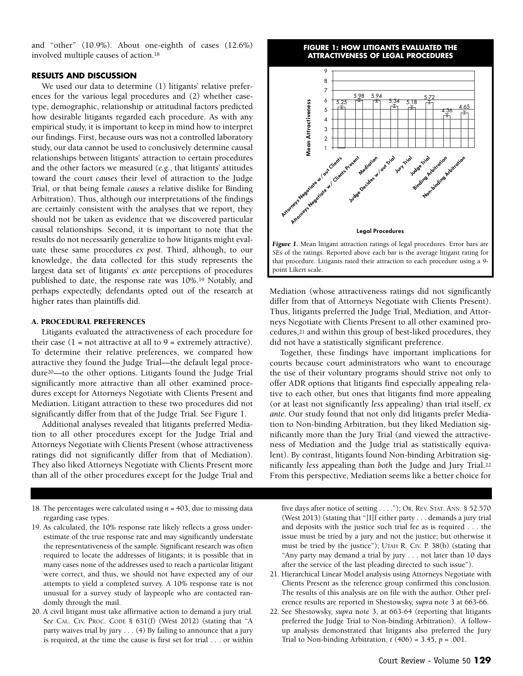and "other" (10.9%). About one-eighth of cases (12.6%) involved multiple causes of action.18

#### **RESULTS AND DISCUSSION**

We used our data to determine (1) litigants' relative preferences for the various legal procedures and (2) whether casetype, demographic, relationship or attitudinal factors predicted how desirable litigants regarded each procedure. As with any empirical study, it is important to keep in mind how to interpret our findings. First, because ours was not a controlled laboratory study, our data cannot be used to conclusively determine causal relationships between litigants' attraction to certain procedures and the other factors we measured (*e.g.*, that litigants' attitudes toward the court *causes* their level of attraction to the Judge Trial, or that being female *causes* a relative dislike for Binding Arbitration). Thus, although our interpretations of the findings are certainly consistent with the analyses that we report, they should not be taken as evidence that we discovered particular causal relationships. Second, it is important to note that the results do not necessarily generalize to how litigants might evaluate these same procedures *ex post*. Third, although, to our knowledge, the data collected for this study represents the largest data set of litigants' *ex ante* perceptions of procedures published to date, the response rate was 10%.19 Notably, and perhaps expectedly, defendants opted out of the research at higher rates than plaintiffs did.

#### **A. PROCEDURAL PREFERENCES**

Litigants evaluated the attractiveness of each procedure for their case  $(1 = not attractive at all to 9 = extremely attractive)$ . To determine their relative preferences, we compared how attractive they found the Judge Trial—the default legal procedure20—to the other options. Litigants found the Judge Trial significantly more attractive than all other examined procedures except for Attorneys Negotiate with Clients Present and Mediation. Litigant attraction to these two procedures did not significantly differ from that of the Judge Trial. See Figure 1.

Additional analyses revealed that litigants preferred Mediation to all other procedures except for the Judge Trial and Attorneys Negotiate with Clients Present (whose attractiveness ratings did not significantly differ from that of Mediation). They also liked Attorneys Negotiate with Clients Present more than all of the other procedures except for the Judge Trial and

- 18. The percentages were calculated using *n* = 403, due to missing data regarding case types.
- 19. As calculated, the 10% response rate likely reflects a gross underestimate of the true response rate and may significantly understate the representativeness of the sample. Significant research was often required to locate the addresses of litigants; it is possible that in many cases none of the addresses used to reach a particular litigant were correct, and thus, we should not have expected any of our attempts to yield a completed survey. A 10% response rate is not unusual for a survey study of laypeople who are contacted randomly through the mail.
- 20. A civil litigant must take affirmative action to demand a jury trial. S*ee* CAL. CIV. PROC. CODE § 631(f) (West 2012) (stating that "A party waives trial by jury  $\dots$  (4) By failing to announce that a jury is required, at the time the cause is first set for trial . . . or within

#### **FIGURE 1: HOW LITIGANTS EVALUATED THE ATTRACTIVENESS OF LEGAL PROCEDURES**





Mediation (whose attractiveness ratings did not significantly differ from that of Attorneys Negotiate with Clients Present). Thus, litigants preferred the Judge Trial, Mediation, and Attorneys Negotiate with Clients Present to all other examined procedures,21 and within this group of best-liked procedures, they did not have a statistically significant preference.

Together, these findings have important implications for courts because court administrators who want to encourage the use of their voluntary programs should strive not only to offer ADR options that litigants find especially appealing relative to each other, but ones that litigants find more appealing (or at least not significantly *less* appealing) than trial itself, *ex ante*. Our study found that not only did litigants prefer Mediation to Non-binding Arbitration, but they liked Mediation significantly more than the Jury Trial (and viewed the attractiveness of Mediation and the Judge trial as statistically equivalent). By contrast, litigants found Non-binding Arbitration significantly *less* appealing than *both* the Judge and Jury Trial.22 From this perspective, Mediation seems like a better choice for

five days after notice of setting . . . ."); OR. REV. STAT. ANN. § 52.570 (West 2013) (stating that "[I]f either party . . . demands a jury trial and deposits with the justice such trial fee as is required . . . the issue must be tried by a jury and not the justice; but otherwise it must be tried by the justice"); UTAH R. CIV. P. 38(b) (stating that "Any party may demand a trial by jury . . . not later than 10 days after the service of the last pleading directed to such issue").

- 21. Hierarchical Linear Model analysis using Attorneys Negotiate with Clients Present as the reference group confirmed this conclusion. The results of this analysis are on file with the author. Other preference results are reported in Shestowsky, *supra* note 3 at 663-66.
- 22. See Shestowsky, *supra* note 3, at 663-64 (reporting that litigants preferred the Judge Trial to Non-binding Arbitration). A followup analysis demonstrated that litigants also preferred the Jury Trial to Non-binding Arbitration, *t* (406) = 3.45, *p* = .001.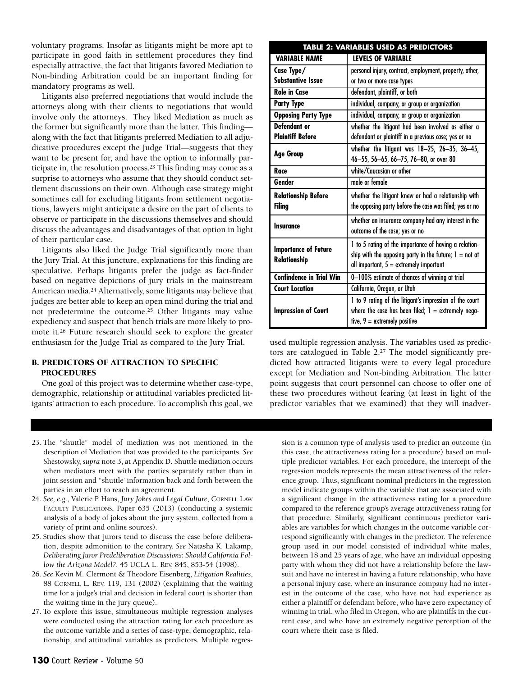voluntary programs. Insofar as litigants might be more apt to participate in good faith in settlement procedures they find especially attractive, the fact that litigants favored Mediation to Non-binding Arbitration could be an important finding for mandatory programs as well.

Litigants also preferred negotiations that would include the attorneys along with their clients to negotiations that would involve only the attorneys. They liked Mediation as much as the former but significantly more than the latter. This finding along with the fact that litigants preferred Mediation to all adjudicative procedures except the Judge Trial—suggests that they want to be present for, and have the option to informally participate in, the resolution process.23 This finding may come as a surprise to attorneys who assume that they should conduct settlement discussions on their own. Although case strategy might sometimes call for excluding litigants from settlement negotiations, lawyers might anticipate a desire on the part of clients to observe or participate in the discussions themselves and should discuss the advantages and disadvantages of that option in light of their particular case.

Litigants also liked the Judge Trial significantly more than the Jury Trial. At this juncture, explanations for this finding are speculative. Perhaps litigants prefer the judge as fact-finder based on negative depictions of jury trials in the mainstream American media.24 Alternatively, some litigants may believe that judges are better able to keep an open mind during the trial and not predetermine the outcome.25 Other litigants may value expediency and suspect that bench trials are more likely to promote it.26 Future research should seek to explore the greater enthusiasm for the Judge Trial as compared to the Jury Trial.

#### **B. PREDICTORS OF ATTRACTION TO SPECIFIC PROCEDURES**

One goal of this project was to determine whether case-type, demographic, relationship or attitudinal variables predicted litigants' attraction to each procedure. To accomplish this goal, we

| <b>VARIABLE NAME</b>            | <b>LEVELS OF VARIABLE</b>                                |  |  |  |
|---------------------------------|----------------------------------------------------------|--|--|--|
| Case Type/                      | personal injury, contract, employment, property, other,  |  |  |  |
| <b>Substantive Issue</b>        | or two or more case types                                |  |  |  |
| <b>Role in Case</b>             | defendant, plaintiff, or both                            |  |  |  |
| <b>Party Type</b>               | individual, company, or group or organization            |  |  |  |
| <b>Opposing Party Type</b>      | individual, company, or group or organization            |  |  |  |
| Defendant or                    | whether the litigant had been involved as either a       |  |  |  |
| <b>Plaintiff Before</b>         | defendant or plaintiff in a previous case; yes or no     |  |  |  |
|                                 | whether the litigant was 18-25, 26-35, 36-45,            |  |  |  |
| <b>Age Group</b>                | 46-55, 56-65, 66-75, 76-80, or over 80                   |  |  |  |
| Race                            | white/Caucasian or other                                 |  |  |  |
| Gender                          | male or female                                           |  |  |  |
|                                 |                                                          |  |  |  |
| <b>Relationship Before</b>      | whether the litigant knew or had a relationship with     |  |  |  |
| Filing                          | the opposing party before the case was filed; yes or no  |  |  |  |
|                                 | whether an insurance company had any interest in the     |  |  |  |
| Insurance                       | outcome of the case; yes or no                           |  |  |  |
|                                 | 1 to 5 rating of the importance of having a relation-    |  |  |  |
| <b>Importance of Future</b>     | ship with the opposing party in the future; $1 = not$ at |  |  |  |
| Relationship                    | all important, $5 =$ extremely important                 |  |  |  |
| <b>Confindence in Trial Win</b> | 0-100% estimate of chances of winning at trial           |  |  |  |
| <b>Court Location</b>           | California, Oregon, or Utah                              |  |  |  |
|                                 | 1 to 9 rating of the litigant's impression of the court  |  |  |  |
| <b>Impression of Court</b>      | where the case has been filed; $1 =$ extremely nega-     |  |  |  |

**TABLE 2: VARIABLES USED AS PREDICTORS**

used multiple regression analysis. The variables used as predictors are catalogued in Table 2.27 The model significantly predicted how attracted litigants were to every legal procedure except for Mediation and Non-binding Arbitration. The latter point suggests that court personnel can choose to offer one of these two procedures without fearing (at least in light of the predictor variables that we examined) that they will inadver-

- 23. The "shuttle" model of mediation was not mentioned in the description of Mediation that was provided to the participants. *See* Shestowsky, *supra* note 3, at Appendix D. Shuttle mediation occurs when mediators meet with the parties separately rather than in joint session and "shuttle' information back and forth between the parties in an effort to reach an agreement.
- 24. *See, e.g.*, Valerie P. Hans, *Jury Jokes and Legal Culture*, CORNELL LAW FACULTY PUBLICATIONS, Paper 635 (2013) (conducting a systemic analysis of a body of jokes about the jury system, collected from a variety of print and online sources).
- 25. Studies show that jurors tend to discuss the case before deliberation, despite admonition to the contrary. *See* Natasha K. Lakamp, *Deliberating Juror Predeliberation Discussions: Should California Follow the Arizona Model?*, 45 UCLA L. REV. 845, 853-54 (1998).
- 26. *See* Kevin M. Clermont & Theodore Eisenberg, *Litigation Realities*, 88 CORNELL L. REV. 119, 131 (2002) (explaining that the waiting time for a judge's trial and decision in federal court is shorter than the waiting time in the jury queue).
- 27. To explore this issue, simultaneous multiple regression analyses were conducted using the attraction rating for each procedure as the outcome variable and a series of case-type, demographic, relationship, and attitudinal variables as predictors. Multiple regres-

sion is a common type of analysis used to predict an outcome (in this case, the attractiveness rating for a procedure) based on multiple predictor variables. For each procedure, the intercept of the regression models represents the mean attractiveness of the reference group. Thus, significant nominal predictors in the regression model indicate groups within the variable that are associated with a significant change in the attractiveness rating for a procedure compared to the reference group's average attractiveness rating for that procedure. Similarly, significant continuous predictor variables are variables for which changes in the outcome variable correspond significantly with changes in the predictor. The reference group used in our model consisted of individual white males, between 18 and 25 years of age, who have an individual opposing party with whom they did not have a relationship before the lawsuit and have no interest in having a future relationship, who have a personal injury case, where an insurance company had no interest in the outcome of the case, who have not had experience as either a plaintiff or defendant before, who have zero expectancy of winning in trial, who filed in Oregon, who are plaintiffs in the current case, and who have an extremely negative perception of the court where their case is filed.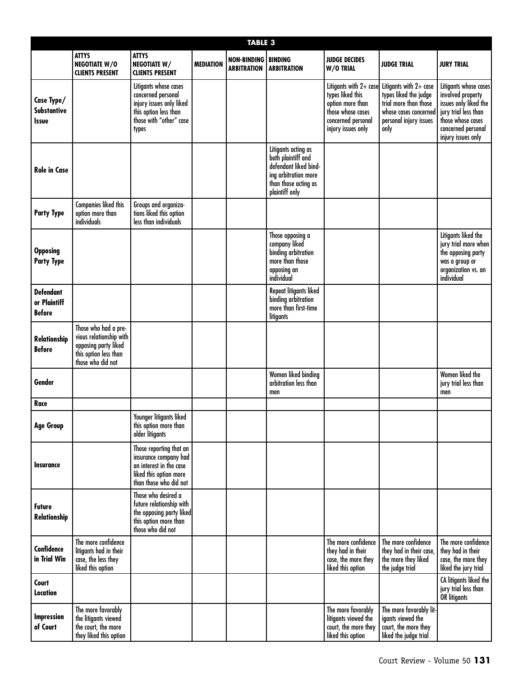|                                                   |                                                                                                                       |                                                                                                                                      |                  | <b>TABLE 3</b>                                     |                                                                                                                                      |                                                                                                                                 |                                                                                                                                       |                                                                                                                                                              |
|---------------------------------------------------|-----------------------------------------------------------------------------------------------------------------------|--------------------------------------------------------------------------------------------------------------------------------------|------------------|----------------------------------------------------|--------------------------------------------------------------------------------------------------------------------------------------|---------------------------------------------------------------------------------------------------------------------------------|---------------------------------------------------------------------------------------------------------------------------------------|--------------------------------------------------------------------------------------------------------------------------------------------------------------|
|                                                   | <b>ATTYS</b><br><b>NEGOTIATE W/O</b><br><b>CLIENTS PRESENT</b>                                                        | <b>ATTYS</b><br><b>NEGOTIATE W/</b><br><b>CLIENTS PRESENT</b>                                                                        | <b>MEDIATION</b> | <b>NON-BINDING   BINDING</b><br><b>ARBITRATION</b> | <b>ARBITRATION</b>                                                                                                                   | <b>JUDGE DECIDES</b><br>W/O TRIAL                                                                                               | <b>JUDGE TRIAL</b>                                                                                                                    | <b>JURY TRIAL</b>                                                                                                                                            |
| Case Type/<br>Substantive<br><b>Issue</b>         |                                                                                                                       | Litigants whose cases<br>concerned personal<br>injury issues only liked<br>this option less than<br>those with "other" case<br>types |                  |                                                    |                                                                                                                                      | Litigants with 2+ case<br>types liked this<br>option more than<br>those whose cases<br>concerned personal<br>injury issues only | Litigants with $2+$ case<br>types liked the judge<br>trial more than those<br>whose cases concerned<br>personal injury issues<br>only | Litigants whose cases<br>involved property<br>issues only liked the<br>jury trial less than<br>those whose cases<br>concerned personal<br>injury issues only |
| <b>Role in Case</b>                               |                                                                                                                       |                                                                                                                                      |                  |                                                    | Litigants acting as<br>both plaintiff and<br>defendant liked bind-<br>ing arbitration more<br>than those acting as<br>plaintiff only |                                                                                                                                 |                                                                                                                                       |                                                                                                                                                              |
| <b>Party Type</b>                                 | Companies liked this<br>option more than<br>individuals                                                               | Groups and organiza-<br>tions liked this option<br>less than individuals                                                             |                  |                                                    |                                                                                                                                      |                                                                                                                                 |                                                                                                                                       |                                                                                                                                                              |
| <b>Opposing</b><br><b>Party Type</b>              |                                                                                                                       |                                                                                                                                      |                  |                                                    | Those opposing a<br>company liked<br>binding arbitration<br>more than those<br>opposing an<br>individual                             |                                                                                                                                 |                                                                                                                                       | Litigants liked the<br>jury trial more when<br>the opposing party<br>was a group or<br>organization vs. an<br>individual                                     |
| <b>Defendant</b><br>or Plaintiff<br><b>Before</b> |                                                                                                                       |                                                                                                                                      |                  |                                                    | Repeat litigants liked<br>binding arbitration<br>more than first-time<br>litigants                                                   |                                                                                                                                 |                                                                                                                                       |                                                                                                                                                              |
| <b>Relationship</b><br><b>Before</b>              | Those who had a pre-<br>vious relationship with<br>opposing party liked<br>this option less than<br>those who did not |                                                                                                                                      |                  |                                                    |                                                                                                                                      |                                                                                                                                 |                                                                                                                                       |                                                                                                                                                              |
| Gender                                            |                                                                                                                       |                                                                                                                                      |                  |                                                    | Women liked binding<br>arbitration less than<br>men                                                                                  |                                                                                                                                 |                                                                                                                                       | Women liked the<br>jury trial less than<br>men                                                                                                               |
| Race                                              |                                                                                                                       |                                                                                                                                      |                  |                                                    |                                                                                                                                      |                                                                                                                                 |                                                                                                                                       |                                                                                                                                                              |
| <b>Age Group</b>                                  |                                                                                                                       | Younger litigants liked<br>this option more than<br>older litigants                                                                  |                  |                                                    |                                                                                                                                      |                                                                                                                                 |                                                                                                                                       |                                                                                                                                                              |
| <b>Insurance</b>                                  |                                                                                                                       | Those reporting that an<br>insurance company had<br>an interest in the case<br>liked this option more<br>than those who did not      |                  |                                                    |                                                                                                                                      |                                                                                                                                 |                                                                                                                                       |                                                                                                                                                              |
| <b>Future</b><br>Relationship                     |                                                                                                                       | Those who desired a<br>future relationship with<br>the opposing party liked<br>this option more than<br>those who did not            |                  |                                                    |                                                                                                                                      |                                                                                                                                 |                                                                                                                                       |                                                                                                                                                              |
| <b>Confidence</b><br>in Trial Win                 | The more confidence<br>litigants had in their<br>case, the less they<br>liked this option                             |                                                                                                                                      |                  |                                                    |                                                                                                                                      | The more confidence<br>they had in their<br>case, the more they<br>liked this option                                            | The more confidence<br>they had in their case,<br>the more they liked<br>the judge trial                                              | The more confidence<br>they had in their<br>case, the more they<br>liked the jury trial                                                                      |
| Court<br><b>Location</b>                          |                                                                                                                       |                                                                                                                                      |                  |                                                    |                                                                                                                                      |                                                                                                                                 |                                                                                                                                       | CA litigants liked the<br>jury trial less than<br>OR litigants                                                                                               |
| Impression<br>of Court                            | The more favorably<br>the litigants viewed<br>the court, the more<br>they liked this option                           |                                                                                                                                      |                  |                                                    |                                                                                                                                      | The more favorably<br>litigants viewed the<br>court, the more they<br>liked this option                                         | The more favorably lit-<br>igants viewed the<br>court, the more they<br>liked the judge trial                                         |                                                                                                                                                              |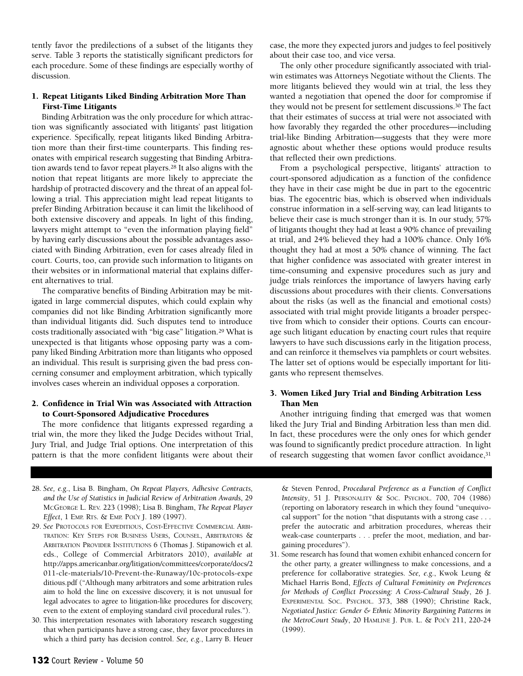tently favor the predilections of a subset of the litigants they serve. Table 3 reports the statistically significant predictors for each procedure. Some of these findings are especially worthy of discussion.

#### **1. Repeat Litigants Liked Binding Arbitration More Than First-Time Litigants**

Binding Arbitration was the only procedure for which attraction was significantly associated with litigants' past litigation experience. Specifically, repeat litigants liked Binding Arbitration more than their first-time counterparts. This finding resonates with empirical research suggesting that Binding Arbitration awards tend to favor repeat players.28 It also aligns with the notion that repeat litigants are more likely to appreciate the hardship of protracted discovery and the threat of an appeal following a trial. This appreciation might lead repeat litigants to prefer Binding Arbitration because it can limit the likelihood of both extensive discovery and appeals. In light of this finding, lawyers might attempt to "even the information playing field" by having early discussions about the possible advantages associated with Binding Arbitration, even for cases already filed in court. Courts, too, can provide such information to litigants on their websites or in informational material that explains different alternatives to trial.

The comparative benefits of Binding Arbitration may be mitigated in large commercial disputes, which could explain why companies did not like Binding Arbitration significantly more than individual litigants did. Such disputes tend to introduce costs traditionally associated with "big case" litigation.<sup>29</sup> What is unexpected is that litigants whose opposing party was a company liked Binding Arbitration more than litigants who opposed an individual. This result is surprising given the bad press concerning consumer and employment arbitration, which typically involves cases wherein an individual opposes a corporation.

# **2. Confidence in Trial Win was Associated with Attraction to Court-Sponsored Adjudicative Procedures**

The more confidence that litigants expressed regarding a trial win, the more they liked the Judge Decides without Trial, Jury Trial, and Judge Trial options. One interpretation of this pattern is that the more confident litigants were about their

- 28. *See, e.g.*, Lisa B. Bingham, *On Repeat Players, Adhesive Contracts, and the Use of Statistics in Judicial Review of Arbitration Awards*, 29 MCGEORGE L. REV. 223 (1998); Lisa B. Bingham, *The Repeat Player Effect*, 1 EMP. RTS. & EMP. POL'Y J. 189 (1997).
- 29. *See* PROTOCOLS FOR EXPEDITIOUS, COST-EFFECTIVE COMMERCIAL ARBI-TRATION: KEY STEPS FOR BUSINESS USERS, COUNSEL, ARBITRATORS & ARBITRATION PROVIDER INSTITUTIONS 6 (Thomas J. Stipanowich et al. eds., College of Commercial Arbitrators 2010), *available at* [http://apps.americanbar.org/litigation/committees/corporate/docs/2](http://apps.americanbar.org/litigation/committees/corporate/docs/2011-cle-materials/10-Prevent-the-Runaway/10c-protocols-expeditious.pdf) [011-cle-materials/10-Prevent-the-Runaway/10c-protocols-expe](http://apps.americanbar.org/litigation/committees/corporate/docs/2011-cle-materials/10-Prevent-the-Runaway/10c-protocols-expeditious.pdf) [ditious.pdf](http://apps.americanbar.org/litigation/committees/corporate/docs/2011-cle-materials/10-Prevent-the-Runaway/10c-protocols-expeditious.pdf) ("Although many arbitrators and some arbitration rules aim to hold the line on excessive discovery, it is not unusual for legal advocates to agree to litigation-like procedures for discovery, even to the extent of employing standard civil procedural rules.").
- 30. This interpretation resonates with laboratory research suggesting that when participants have a strong case, they favor procedures in which a third party has decision control. *See, e.g.*, Larry B. Heuer

case, the more they expected jurors and judges to feel positively about their case too, and vice versa.

The only other procedure significantly associated with trialwin estimates was Attorneys Negotiate without the Clients. The more litigants believed they would win at trial, the less they wanted a negotiation that opened the door for compromise if they would not be present for settlement discussions.30 The fact that their estimates of success at trial were not associated with how favorably they regarded the other procedures—including trial-like Binding Arbitration—suggests that they were more agnostic about whether these options would produce results that reflected their own predictions.

From a psychological perspective, litigants' attraction to court-sponsored adjudication as a function of the confidence they have in their case might be due in part to the egocentric bias. The egocentric bias, which is observed when individuals construe information in a self-serving way, can lead litigants to believe their case is much stronger than it is. In our study, 57% of litigants thought they had at least a 90% chance of prevailing at trial, and 24% believed they had a 100% chance. Only 16% thought they had at most a 50% chance of winning. The fact that higher confidence was associated with greater interest in time-consuming and expensive procedures such as jury and judge trials reinforces the importance of lawyers having early discussions about procedures with their clients. Conversations about the risks (as well as the financial and emotional costs) associated with trial might provide litigants a broader perspective from which to consider their options. Courts can encourage such litigant education by enacting court rules that require lawyers to have such discussions early in the litigation process, and can reinforce it themselves via pamphlets or court websites. The latter set of options would be especially important for litigants who represent themselves.

# **3. Women Liked Jury Trial and Binding Arbitration Less Than Men**

Another intriguing finding that emerged was that women liked the Jury Trial and Binding Arbitration less than men did. In fact, these procedures were the only ones for which gender was found to significantly predict procedure attraction. In light of research suggesting that women favor conflict avoidance,<sup>31</sup>

& Steven Penrod, *Procedural Preference as a Function of Conflict Intensity*, 51 J. PERSONALITY & SOC. PSYCHOL. 700, 704 (1986) (reporting on laboratory research in which they found "unequivocal support" for the notion "that disputants with a strong case . . . prefer the autocratic and arbitration procedures, whereas their weak-case counterparts . . . prefer the moot, mediation, and bargaining procedures").

31. Some research has found that women exhibit enhanced concern for the other party, a greater willingness to make concessions, and a preference for collaborative strategies. *See, e.g.*, Kwok Leung & Michael Harris Bond, *Effects of Cultural Femininity on Preferences for Methods of Conflict Processing: A Cross-Cultural Study*, 26 J. EXPERIMENTAL SOC. PSYCHOL. 373, 388 (1990); Christine Rack, *Negotiated Justice: Gender & Ethnic Minority Bargaining Patterns in the MetroCourt Study*, 20 HAMLINE J. PUB. L. & POL'Y 211, 220-24 (1999).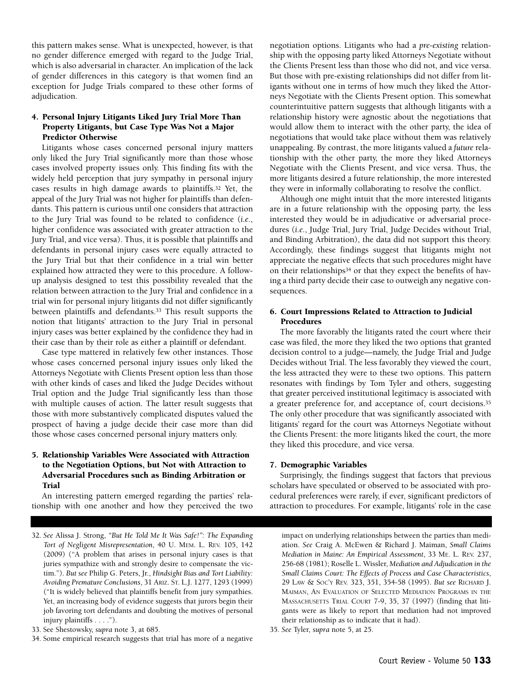this pattern makes sense. What is unexpected, however, is that no gender difference emerged with regard to the Judge Trial, which is also adversarial in character. An implication of the lack of gender differences in this category is that women find an exception for Judge Trials compared to these other forms of adjudication.

## **4. Personal Injury Litigants Liked Jury Trial More Than Property Litigants, but Case Type Was Not a Major Predictor Otherwise**

Litigants whose cases concerned personal injury matters only liked the Jury Trial significantly more than those whose cases involved property issues only. This finding fits with the widely held perception that jury sympathy in personal injury cases results in high damage awards to plaintiffs.32 Yet, the appeal of the Jury Trial was not higher for plaintiffs than defendants. This pattern is curious until one considers that attraction to the Jury Trial was found to be related to confidence (*i.e.*, higher confidence was associated with greater attraction to the Jury Trial, and vice versa). Thus, it is possible that plaintiffs and defendants in personal injury cases were equally attracted to the Jury Trial but that their confidence in a trial win better explained how attracted they were to this procedure. A followup analysis designed to test this possibility revealed that the relation between attraction to the Jury Trial and confidence in a trial win for personal injury litigants did not differ significantly between plaintiffs and defendants.33 This result supports the notion that litigants' attraction to the Jury Trial in personal injury cases was better explained by the confidence they had in their case than by their role as either a plaintiff or defendant.

Case type mattered in relatively few other instances. Those whose cases concerned personal injury issues only liked the Attorneys Negotiate with Clients Present option less than those with other kinds of cases and liked the Judge Decides without Trial option and the Judge Trial significantly less than those with multiple causes of action. The latter result suggests that those with more substantively complicated disputes valued the prospect of having a judge decide their case more than did those whose cases concerned personal injury matters only.

#### **5. Relationship Variables Were Associated with Attraction to the Negotiation Options, but Not with Attraction to Adversarial Procedures such as Binding Arbitration or Trial**

An interesting pattern emerged regarding the parties' relationship with one another and how they perceived the two

34. Some empirical research suggests that trial has more of a negative

negotiation options. Litigants who had a *pre-existing* relationship with the opposing party liked Attorneys Negotiate without the Clients Present less than those who did not, and vice versa. But those with pre-existing relationships did not differ from litigants without one in terms of how much they liked the Attorneys Negotiate with the Clients Present option. This somewhat counterintuitive pattern suggests that although litigants with a relationship history were agnostic about the negotiations that would allow them to interact with the other party, the idea of negotiations that would take place without them was relatively unappealing. By contrast, the more litigants valued a *future* relationship with the other party, the more they liked Attorneys Negotiate with the Clients Present, and vice versa. Thus, the more litigants desired a future relationship, the more interested they were in informally collaborating to resolve the conflict.

Although one might intuit that the more interested litigants are in a future relationship with the opposing party, the less interested they would be in adjudicative or adversarial procedures (*i.e.*, Judge Trial, Jury Trial, Judge Decides without Trial, and Binding Arbitration), the data did not support this theory. Accordingly, these findings suggest that litigants might not appreciate the negative effects that such procedures might have on their relationships<sup>34</sup> or that they expect the benefits of having a third party decide their case to outweigh any negative consequences.

#### **6. Court Impressions Related to Attraction to Judicial Procedures**

The more favorably the litigants rated the court where their case was filed, the more they liked the two options that granted decision control to a judge—namely, the Judge Trial and Judge Decides without Trial. The less favorably they viewed the court, the less attracted they were to these two options. This pattern resonates with findings by Tom Tyler and others, suggesting that greater perceived institutional legitimacy is associated with a greater preference for, and acceptance of, court decisions.35 The only other procedure that was significantly associated with litigants' regard for the court was Attorneys Negotiate without the Clients Present: the more litigants liked the court, the more they liked this procedure, and vice versa.

#### **7. Demographic Variables**

Surprisingly, the findings suggest that factors that previous scholars have speculated or observed to be associated with procedural preferences were rarely, if ever, significant predictors of attraction to procedures. For example, litigants' role in the case

impact on underlying relationships between the parties than mediation. *See* Craig A. McEwen & Richard J. Maiman, *Small Claims Mediation in Maine: An Empirical Assessment*, 33 ME. L. REV. 237, 256-68 (1981); Roselle L. Wissler, *Mediation and Adjudication in the Small Claims Court: The Effects of Process and Case Characteristics*, 29 LAW & SOC'Y REV. 323, 351, 354-58 (1995). *But see* RICHARD J. MAIMAN, AN EVALUATION OF SELECTED MEDIATION PROGRAMS IN THE MASSACHUSETTS TRIAL COURT 7-9, 35, 37 (1997) (finding that litigants were as likely to report that mediation had not improved their relationship as to indicate that it had).

35. *See* Tyler, *supra* note 5, at 25.

<sup>32.</sup> *See* Alissa J. Strong, *"But He Told Me It Was Safe!": The Expanding Tort of Negligent Misrepresentation*, 40 U. MEM. L. REV. 105, 142 (2009) ("A problem that arises in personal injury cases is that juries sympathize with and strongly desire to compensate the victim."). *But see* Philip G. Peters, Jr., *Hindsight Bias and Tort Liability: Avoiding Premature Conclusions*, 31 ARIZ. ST. L.J. 1277, 1293 (1999) ("It is widely believed that plaintiffs benefit from jury sympathies. Yet, an increasing body of evidence suggests that jurors begin their job favoring tort defendants and doubting the motives of personal injury plaintiffs . . . .").

<sup>33.</sup> See Shestowsky, *supra* note 3, at 685.